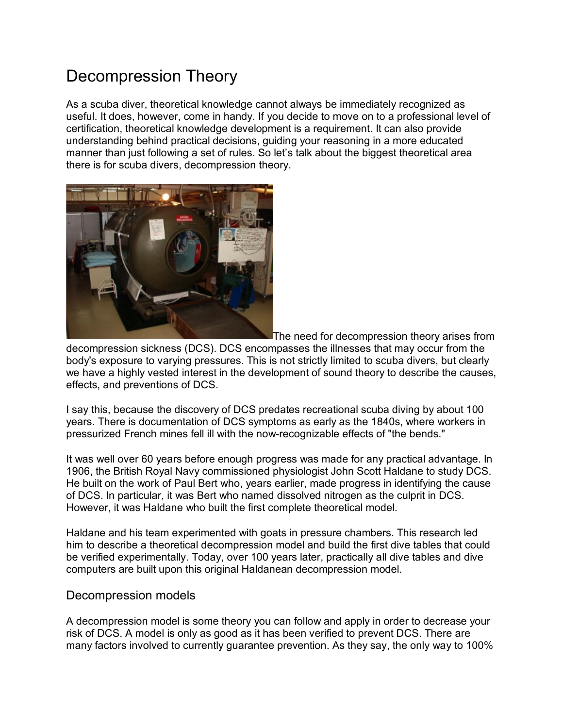# Decompression Theory

As a scuba diver, theoretical knowledge cannot always be immediately recognized as useful. It does, however, come in handy. If you decide to move on to a professional level of certification, theoretical knowledge development is a requirement. It can also provide understanding behind practical decisions, guiding your reasoning in a more educated manner than just following a set of rules. So let's talk about the biggest theoretical area there is for scuba divers, decompression theory.



The need for decompression theory arises from

decompression sickness (DCS). DCS encompasses the illnesses that may occur from the body's exposure to varying pressures. This is not strictly limited to scuba divers, but clearly we have a highly vested interest in the development of sound theory to describe the causes, effects, and preventions of DCS.

I say this, because the discovery of DCS predates recreational scuba diving by about 100 years. There is documentation of DCS symptoms as early as the 1840s, where workers in pressurized French mines fell ill with the now-recognizable effects of "the bends."

It was well over 60 years before enough progress was made for any practical advantage. In 1906, the British Royal Navy commissioned physiologist John Scott Haldane to study DCS. He built on the work of Paul Bert who, years earlier, made progress in identifying the cause of DCS. In particular, it was Bert who named dissolved nitrogen as the culprit in DCS. However, it was Haldane who built the first complete theoretical model.

Haldane and his team experimented with goats in pressure chambers. This research led him to describe a theoretical decompression model and build the first dive tables that could be verified experimentally. Today, over 100 years later, practically all dive tables and dive computers are built upon this original Haldanean decompression model.

## Decompression models

A decompression model is some theory you can follow and apply in order to decrease your risk of DCS. A model is only as good as it has been verified to prevent DCS. There are many factors involved to currently guarantee prevention. As they say, the only way to 100%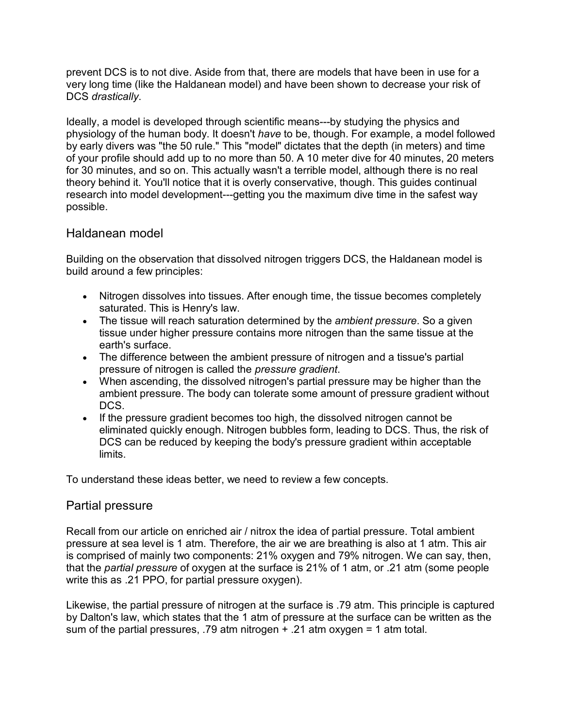prevent DCS is to not dive. Aside from that, there are models that have been in use for a very long time (like the Haldanean model) and have been shown to decrease your risk of DCS *drastically*.

Ideally, a model is developed through scientific means---by studying the physics and physiology of the human body. It doesn't *have* to be, though. For example, a model followed by early divers was "the 50 rule." This "model" dictates that the depth (in meters) and time of your profile should add up to no more than 50. A 10 meter dive for 40 minutes, 20 meters for 30 minutes, and so on. This actually wasn't a terrible model, although there is no real theory behind it. You'll notice that it is overly conservative, though. This guides continual research into model development---getting you the maximum dive time in the safest way possible.

# Haldanean model

Building on the observation that dissolved nitrogen triggers DCS, the Haldanean model is build around a few principles:

- Nitrogen dissolves into tissues. After enough time, the tissue becomes completely saturated. This is Henry's law.
- The tissue will reach saturation determined by the *ambient pressure*. So a given tissue under higher pressure contains more nitrogen than the same tissue at the earth's surface.
- The difference between the ambient pressure of nitrogen and a tissue's partial pressure of nitrogen is called the *pressure gradient*.
- When ascending, the dissolved nitrogen's partial pressure may be higher than the ambient pressure. The body can tolerate some amount of pressure gradient without DCS.
- If the pressure gradient becomes too high, the dissolved nitrogen cannot be eliminated quickly enough. Nitrogen bubbles form, leading to DCS. Thus, the risk of DCS can be reduced by keeping the body's pressure gradient within acceptable limits.

To understand these ideas better, we need to review a few concepts.

## Partial pressure

Recall from our article on enriched air / nitrox the idea of partial pressure. Total ambient pressure at sea level is 1 atm. Therefore, the air we are breathing is also at 1 atm. This air is comprised of mainly two components: 21% oxygen and 79% nitrogen. We can say, then, that the *partial pressure* of oxygen at the surface is 21% of 1 atm, or .21 atm (some people write this as .21 PPO, for partial pressure oxygen).

Likewise, the partial pressure of nitrogen at the surface is .79 atm. This principle is captured by Dalton's law, which states that the 1 atm of pressure at the surface can be written as the sum of the partial pressures, .79 atm nitrogen + .21 atm oxygen = 1 atm total.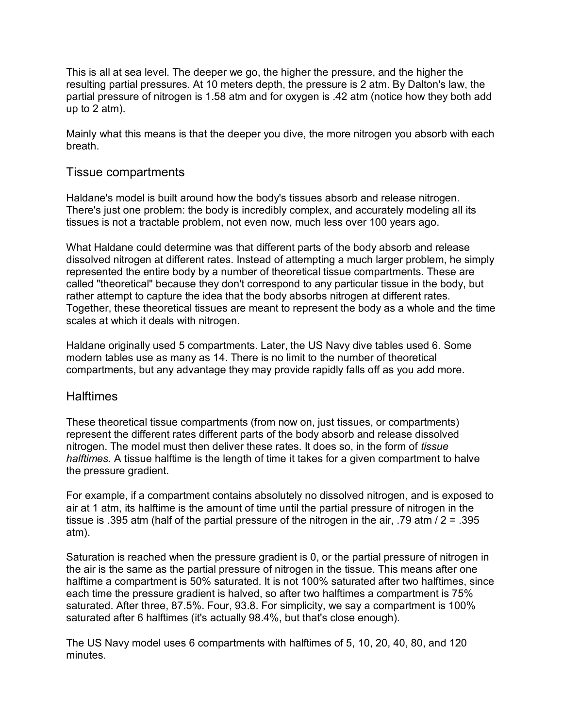This is all at sea level. The deeper we go, the higher the pressure, and the higher the resulting partial pressures. At 10 meters depth, the pressure is 2 atm. By Dalton's law, the partial pressure of nitrogen is 1.58 atm and for oxygen is .42 atm (notice how they both add up to 2 atm).

Mainly what this means is that the deeper you dive, the more nitrogen you absorb with each breath.

## Tissue compartments

Haldane's model is built around how the body's tissues absorb and release nitrogen. There's just one problem: the body is incredibly complex, and accurately modeling all its tissues is not a tractable problem, not even now, much less over 100 years ago.

What Haldane could determine was that different parts of the body absorb and release dissolved nitrogen at different rates. Instead of attempting a much larger problem, he simply represented the entire body by a number of theoretical tissue compartments. These are called "theoretical" because they don't correspond to any particular tissue in the body, but rather attempt to capture the idea that the body absorbs nitrogen at different rates. Together, these theoretical tissues are meant to represent the body as a whole and the time scales at which it deals with nitrogen.

Haldane originally used 5 compartments. Later, the US Navy dive tables used 6. Some modern tables use as many as 14. There is no limit to the number of theoretical compartments, but any advantage they may provide rapidly falls off as you add more.

## **Halftimes**

These theoretical tissue compartments (from now on, just tissues, or compartments) represent the different rates different parts of the body absorb and release dissolved nitrogen. The model must then deliver these rates. It does so, in the form of *tissue halftimes.* A tissue halftime is the length of time it takes for a given compartment to halve the pressure gradient.

For example, if a compartment contains absolutely no dissolved nitrogen, and is exposed to air at 1 atm, its halftime is the amount of time until the partial pressure of nitrogen in the tissue is .395 atm (half of the partial pressure of the nitrogen in the air, .79 atm / 2 = .395 atm).

Saturation is reached when the pressure gradient is 0, or the partial pressure of nitrogen in the air is the same as the partial pressure of nitrogen in the tissue. This means after one halftime a compartment is 50% saturated. It is not 100% saturated after two halftimes, since each time the pressure gradient is halved, so after two halftimes a compartment is 75% saturated. After three, 87.5%. Four, 93.8. For simplicity, we say a compartment is 100% saturated after 6 halftimes (it's actually 98.4%, but that's close enough).

The US Navy model uses 6 compartments with halftimes of 5, 10, 20, 40, 80, and 120 minutes.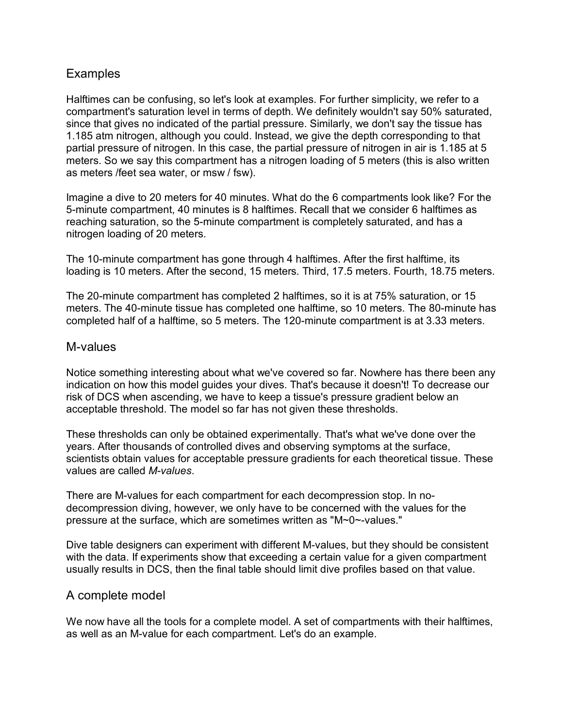# **Examples**

Halftimes can be confusing, so let's look at examples. For further simplicity, we refer to a compartment's saturation level in terms of depth. We definitely wouldn't say 50% saturated, since that gives no indicated of the partial pressure. Similarly, we don't say the tissue has 1.185 atm nitrogen, although you could. Instead, we give the depth corresponding to that partial pressure of nitrogen. In this case, the partial pressure of nitrogen in air is 1.185 at 5 meters. So we say this compartment has a nitrogen loading of 5 meters (this is also written as meters /feet sea water, or msw / fsw).

Imagine a dive to 20 meters for 40 minutes. What do the 6 compartments look like? For the 5-minute compartment, 40 minutes is 8 halftimes. Recall that we consider 6 halftimes as reaching saturation, so the 5-minute compartment is completely saturated, and has a nitrogen loading of 20 meters.

The 10-minute compartment has gone through 4 halftimes. After the first halftime, its loading is 10 meters. After the second, 15 meters. Third, 17.5 meters. Fourth, 18.75 meters.

The 20-minute compartment has completed 2 halftimes, so it is at 75% saturation, or 15 meters. The 40-minute tissue has completed one halftime, so 10 meters. The 80-minute has completed half of a halftime, so 5 meters. The 120-minute compartment is at 3.33 meters.

#### M-values

Notice something interesting about what we've covered so far. Nowhere has there been any indication on how this model guides your dives. That's because it doesn't! To decrease our risk of DCS when ascending, we have to keep a tissue's pressure gradient below an acceptable threshold. The model so far has not given these thresholds.

These thresholds can only be obtained experimentally. That's what we've done over the years. After thousands of controlled dives and observing symptoms at the surface, scientists obtain values for acceptable pressure gradients for each theoretical tissue. These values are called *M-values*.

There are M-values for each compartment for each decompression stop. In nodecompression diving, however, we only have to be concerned with the values for the pressure at the surface, which are sometimes written as "M~0~-values."

Dive table designers can experiment with different M-values, but they should be consistent with the data. If experiments show that exceeding a certain value for a given compartment usually results in DCS, then the final table should limit dive profiles based on that value.

## A complete model

We now have all the tools for a complete model. A set of compartments with their halftimes, as well as an M-value for each compartment. Let's do an example.